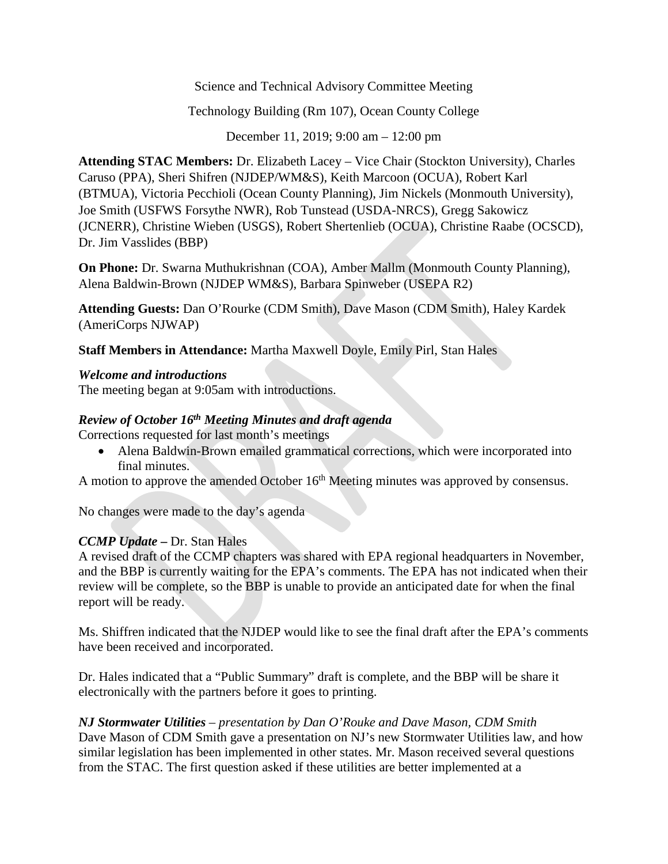Science and Technical Advisory Committee Meeting

Technology Building (Rm 107), Ocean County College

December 11, 2019; 9:00 am – 12:00 pm

**Attending STAC Members:** Dr. Elizabeth Lacey – Vice Chair (Stockton University), Charles Caruso (PPA), Sheri Shifren (NJDEP/WM&S), Keith Marcoon (OCUA), Robert Karl (BTMUA), Victoria Pecchioli (Ocean County Planning), Jim Nickels (Monmouth University), Joe Smith (USFWS Forsythe NWR), Rob Tunstead (USDA-NRCS), Gregg Sakowicz (JCNERR), Christine Wieben (USGS), Robert Shertenlieb (OCUA), Christine Raabe (OCSCD), Dr. Jim Vasslides (BBP)

**On Phone:** Dr. Swarna Muthukrishnan (COA), Amber Mallm (Monmouth County Planning), Alena Baldwin-Brown (NJDEP WM&S), Barbara Spinweber (USEPA R2)

**Attending Guests:** Dan O'Rourke (CDM Smith), Dave Mason (CDM Smith), Haley Kardek (AmeriCorps NJWAP)

**Staff Members in Attendance:** Martha Maxwell Doyle, Emily Pirl, Stan Hales

# *Welcome and introductions*

The meeting began at 9:05am with introductions.

# *Review of October 16th Meeting Minutes and draft agenda*

Corrections requested for last month's meetings

• Alena Baldwin-Brown emailed grammatical corrections, which were incorporated into final minutes.

A motion to approve the amended October 16<sup>th</sup> Meeting minutes was approved by consensus.

No changes were made to the day's agenda

# *CCMP Update* **–** Dr. Stan Hales

A revised draft of the CCMP chapters was shared with EPA regional headquarters in November, and the BBP is currently waiting for the EPA's comments. The EPA has not indicated when their review will be complete, so the BBP is unable to provide an anticipated date for when the final report will be ready.

Ms. Shiffren indicated that the NJDEP would like to see the final draft after the EPA's comments have been received and incorporated.

Dr. Hales indicated that a "Public Summary" draft is complete, and the BBP will be share it electronically with the partners before it goes to printing.

*NJ Stormwater Utilities – presentation by Dan O'Rouke and Dave Mason, CDM Smith* Dave Mason of CDM Smith gave a presentation on NJ's new Stormwater Utilities law, and how similar legislation has been implemented in other states. Mr. Mason received several questions from the STAC. The first question asked if these utilities are better implemented at a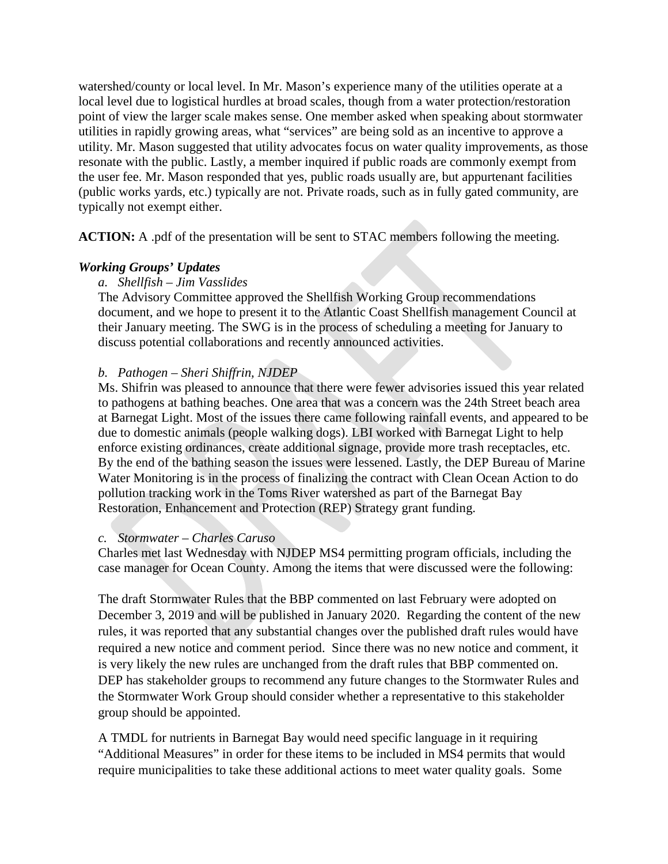watershed/county or local level. In Mr. Mason's experience many of the utilities operate at a local level due to logistical hurdles at broad scales, though from a water protection/restoration point of view the larger scale makes sense. One member asked when speaking about stormwater utilities in rapidly growing areas, what "services" are being sold as an incentive to approve a utility. Mr. Mason suggested that utility advocates focus on water quality improvements, as those resonate with the public. Lastly, a member inquired if public roads are commonly exempt from the user fee. Mr. Mason responded that yes, public roads usually are, but appurtenant facilities (public works yards, etc.) typically are not. Private roads, such as in fully gated community, are typically not exempt either.

**ACTION:** A .pdf of the presentation will be sent to STAC members following the meeting.

## *Working Groups' Updates*

#### *a. Shellfish – Jim Vasslides*

The Advisory Committee approved the Shellfish Working Group recommendations document, and we hope to present it to the Atlantic Coast Shellfish management Council at their January meeting. The SWG is in the process of scheduling a meeting for January to discuss potential collaborations and recently announced activities.

### *b. Pathogen – Sheri Shiffrin, NJDEP*

Ms. Shifrin was pleased to announce that there were fewer advisories issued this year related to pathogens at bathing beaches. One area that was a concern was the 24th Street beach area at Barnegat Light. Most of the issues there came following rainfall events, and appeared to be due to domestic animals (people walking dogs). LBI worked with Barnegat Light to help enforce existing ordinances, create additional signage, provide more trash receptacles, etc. By the end of the bathing season the issues were lessened. Lastly, the DEP Bureau of Marine Water Monitoring is in the process of finalizing the contract with Clean Ocean Action to do pollution tracking work in the Toms River watershed as part of the Barnegat Bay Restoration, Enhancement and Protection (REP) Strategy grant funding.

#### *c. Stormwater – Charles Caruso*

Charles met last Wednesday with NJDEP MS4 permitting program officials, including the case manager for Ocean County. Among the items that were discussed were the following:

The draft Stormwater Rules that the BBP commented on last February were adopted on December 3, 2019 and will be published in January 2020. Regarding the content of the new rules, it was reported that any substantial changes over the published draft rules would have required a new notice and comment period. Since there was no new notice and comment, it is very likely the new rules are unchanged from the draft rules that BBP commented on. DEP has stakeholder groups to recommend any future changes to the Stormwater Rules and the Stormwater Work Group should consider whether a representative to this stakeholder group should be appointed.

A TMDL for nutrients in Barnegat Bay would need specific language in it requiring "Additional Measures" in order for these items to be included in MS4 permits that would require municipalities to take these additional actions to meet water quality goals. Some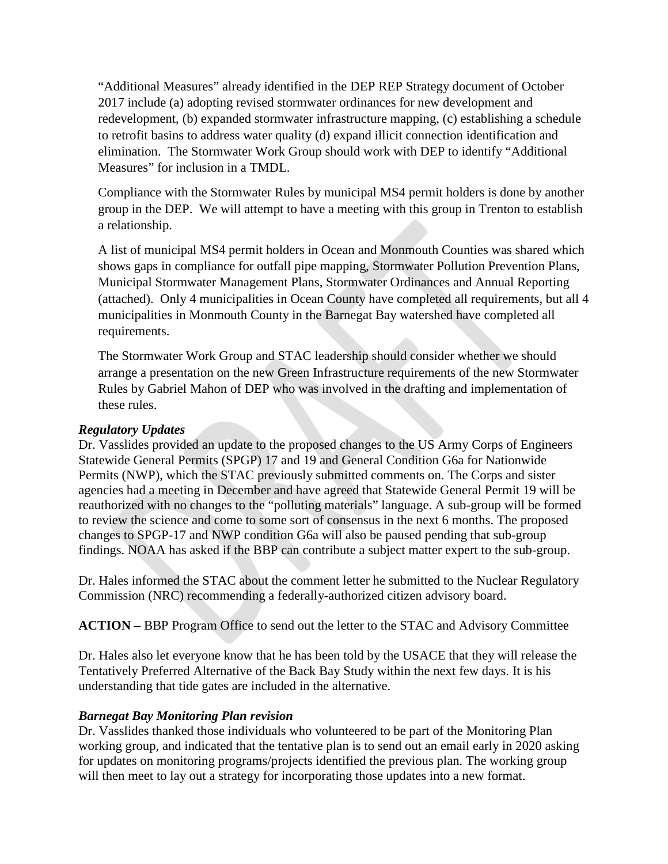"Additional Measures" already identified in the DEP REP Strategy document of October 2017 include (a) adopting revised stormwater ordinances for new development and redevelopment, (b) expanded stormwater infrastructure mapping, (c) establishing a schedule to retrofit basins to address water quality (d) expand illicit connection identification and elimination. The Stormwater Work Group should work with DEP to identify "Additional Measures" for inclusion in a TMDL.

Compliance with the Stormwater Rules by municipal MS4 permit holders is done by another group in the DEP. We will attempt to have a meeting with this group in Trenton to establish a relationship.

A list of municipal MS4 permit holders in Ocean and Monmouth Counties was shared which shows gaps in compliance for outfall pipe mapping, Stormwater Pollution Prevention Plans, Municipal Stormwater Management Plans, Stormwater Ordinances and Annual Reporting (attached). Only 4 municipalities in Ocean County have completed all requirements, but all 4 municipalities in Monmouth County in the Barnegat Bay watershed have completed all requirements.

The Stormwater Work Group and STAC leadership should consider whether we should arrange a presentation on the new Green Infrastructure requirements of the new Stormwater Rules by Gabriel Mahon of DEP who was involved in the drafting and implementation of these rules.

#### *Regulatory Updates*

Dr. Vasslides provided an update to the proposed changes to the US Army Corps of Engineers Statewide General Permits (SPGP) 17 and 19 and General Condition G6a for Nationwide Permits (NWP), which the STAC previously submitted comments on. The Corps and sister agencies had a meeting in December and have agreed that Statewide General Permit 19 will be reauthorized with no changes to the "polluting materials" language. A sub-group will be formed to review the science and come to some sort of consensus in the next 6 months. The proposed changes to SPGP-17 and NWP condition G6a will also be paused pending that sub-group findings. NOAA has asked if the BBP can contribute a subject matter expert to the sub-group.

Dr. Hales informed the STAC about the comment letter he submitted to the Nuclear Regulatory Commission (NRC) recommending a federally-authorized citizen advisory board.

**ACTION –** BBP Program Office to send out the letter to the STAC and Advisory Committee

Dr. Hales also let everyone know that he has been told by the USACE that they will release the Tentatively Preferred Alternative of the Back Bay Study within the next few days. It is his understanding that tide gates are included in the alternative.

## *Barnegat Bay Monitoring Plan revision*

Dr. Vasslides thanked those individuals who volunteered to be part of the Monitoring Plan working group, and indicated that the tentative plan is to send out an email early in 2020 asking for updates on monitoring programs/projects identified the previous plan. The working group will then meet to lay out a strategy for incorporating those updates into a new format.